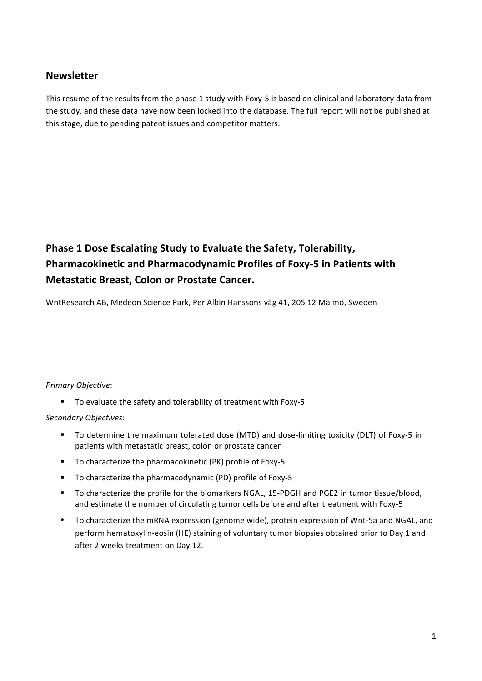## **Newsletter**

This resume of the results from the phase 1 study with Foxy-5 is based on clinical and laboratory data from the study, and these data have now been locked into the database. The full report will not be published at this stage, due to pending patent issues and competitor matters.

# **Phase 1 Dose Escalating Study to Evaluate the Safety, Tolerability, Pharmacokinetic and Pharmacodynamic Profiles of Foxy-5 in Patients with Metastatic Breast, Colon or Prostate Cancer.**

WntResearch AB, Medeon Science Park, Per Albin Hanssons väg 41, 205 12 Malmö, Sweden

## *Primary Objective*:

" To evaluate the safety and tolerability of treatment with Foxy-5

### *Secondary Objectives*:

- " To determine the maximum tolerated dose (MTD) and dose-limiting toxicity (DLT) of Foxy-5 in patients with metastatic breast, colon or prostate cancer
- " To characterize the pharmacokinetic (PK) profile of Foxy-5
- " To characterize the pharmacodynamic (PD) profile of Foxy-5
- To characterize the profile for the biomarkers NGAL, 15-PDGH and PGE2 in tumor tissue/blood, and estimate the number of circulating tumor cells before and after treatment with Foxy-5
- To characterize the mRNA expression (genome wide), protein expression of Wnt-5a and NGAL, and perform hematoxylin-eosin (HE) staining of voluntary tumor biopsies obtained prior to Day 1 and after 2 weeks treatment on Day 12.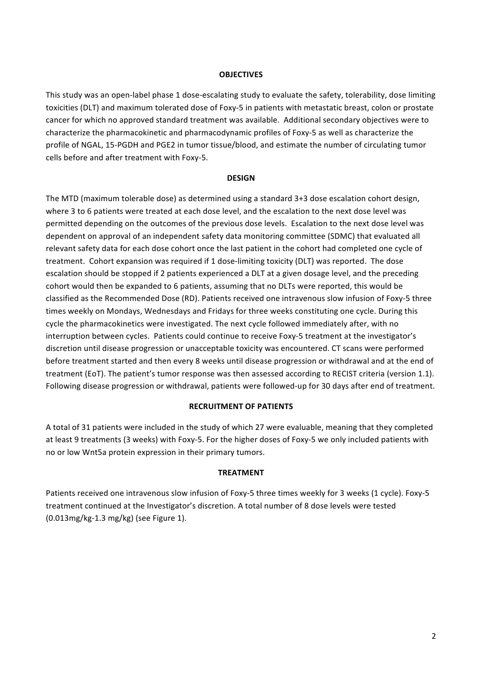#### **OBJECTIVES**

This study was an open-label phase 1 dose-escalating study to evaluate the safety, tolerability, dose limiting toxicities (DLT) and maximum tolerated dose of Foxy-5 in patients with metastatic breast, colon or prostate cancer for which no approved standard treatment was available. Additional secondary objectives were to characterize the pharmacokinetic and pharmacodynamic profiles of Foxy-5 as well as characterize the profile of NGAL, 15-PGDH and PGE2 in tumor tissue/blood, and estimate the number of circulating tumor cells before and after treatment with Foxy-5.

#### **DESIGN**

The MTD (maximum tolerable dose) as determined using a standard 3+3 dose escalation cohort design, where 3 to 6 patients were treated at each dose level, and the escalation to the next dose level was permitted depending on the outcomes of the previous dose levels. Escalation to the next dose level was dependent on approval of an independent safety data monitoring committee (SDMC) that evaluated all relevant safety data for each dose cohort once the last patient in the cohort had completed one cycle of treatment. Cohort expansion was required if 1 dose-limiting toxicity (DLT) was reported. The dose escalation should be stopped if 2 patients experienced a DLT at a given dosage level, and the preceding cohort would then be expanded to 6 patients, assuming that no DLTs were reported, this would be classified as the Recommended Dose (RD). Patients received one intravenous slow infusion of Foxy-5 three times weekly on Mondays, Wednesdays and Fridays for three weeks constituting one cycle. During this cycle the pharmacokinetics were investigated. The next cycle followed immediately after, with no interruption between cycles. Patients could continue to receive Foxy-5 treatment at the investigator's discretion until disease progression or unacceptable toxicity was encountered. CT scans were performed before treatment started and then every 8 weeks until disease progression or withdrawal and at the end of treatment (EoT). The patient's tumor response was then assessed according to RECIST criteria (version 1.1). Following disease progression or withdrawal, patients were followed-up for 30 days after end of treatment.

#### **RECRUITMENT OF PATIENTS**

A total of 31 patients were included in the study of which 27 were evaluable, meaning that they completed at least 9 treatments (3 weeks) with Foxy-5. For the higher doses of Foxy-5 we only included patients with no or low Wnt5a protein expression in their primary tumors.

#### **TREATMENT**

Patients received one intravenous slow infusion of Foxy-5 three times weekly for 3 weeks (1 cycle). Foxy-5 treatment continued at the Investigator's discretion. A total number of 8 dose levels were tested  $(0.013$ mg/kg-1.3 mg/kg) (see Figure 1).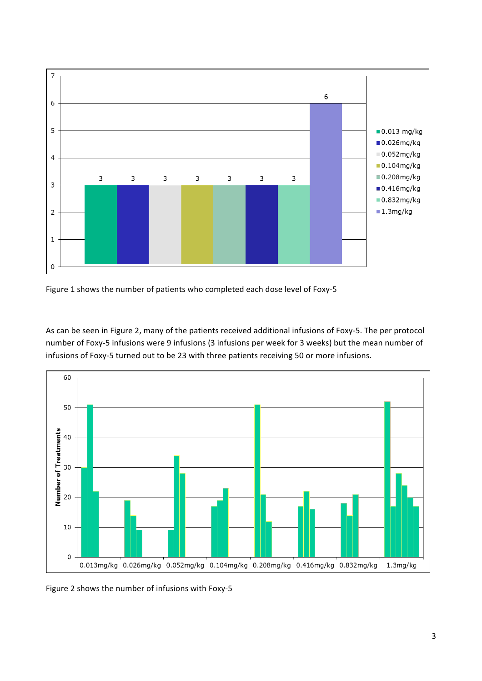

Figure 1 shows the number of patients who completed each dose level of Foxy-5

As can be seen in Figure 2, many of the patients received additional infusions of Foxy-5. The per protocol number of Foxy-5 infusions were 9 infusions (3 infusions per week for 3 weeks) but the mean number of infusions of Foxy-5 turned out to be 23 with three patients receiving 50 or more infusions.



Figure 2 shows the number of infusions with Foxy-5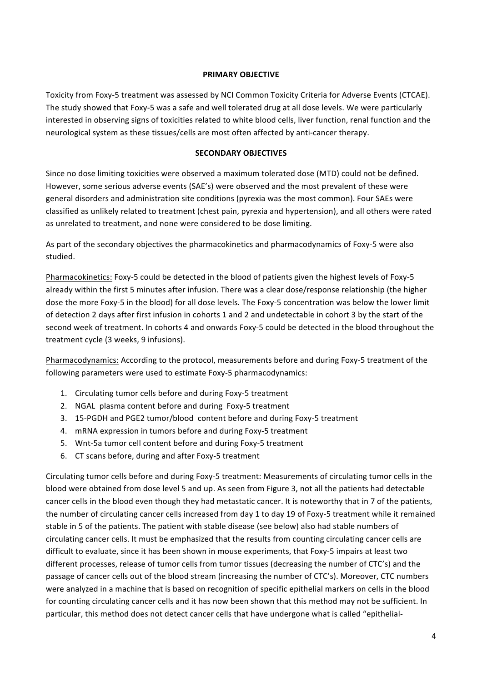## **PRIMARY OBJECTIVE**

Toxicity from Foxy-5 treatment was assessed by NCI Common Toxicity Criteria for Adverse Events (CTCAE). The study showed that Foxy-5 was a safe and well tolerated drug at all dose levels. We were particularly interested in observing signs of toxicities related to white blood cells, liver function, renal function and the neurological system as these tissues/cells are most often affected by anti-cancer therapy.

## **SECONDARY OBJECTIVES**

Since no dose limiting toxicities were observed a maximum tolerated dose (MTD) could not be defined. However, some serious adverse events (SAE's) were observed and the most prevalent of these were general disorders and administration site conditions (pyrexia was the most common). Four SAEs were classified as unlikely related to treatment (chest pain, pyrexia and hypertension), and all others were rated as unrelated to treatment, and none were considered to be dose limiting.

As part of the secondary objectives the pharmacokinetics and pharmacodynamics of Foxy-5 were also studied. 

Pharmacokinetics: Foxy-5 could be detected in the blood of patients given the highest levels of Foxy-5 already within the first 5 minutes after infusion. There was a clear dose/response relationship (the higher dose the more Foxy-5 in the blood) for all dose levels. The Foxy-5 concentration was below the lower limit of detection 2 days after first infusion in cohorts 1 and 2 and undetectable in cohort 3 by the start of the second week of treatment. In cohorts 4 and onwards Foxy-5 could be detected in the blood throughout the treatment cycle (3 weeks, 9 infusions).

Pharmacodynamics: According to the protocol, measurements before and during Foxy-5 treatment of the following parameters were used to estimate Foxy-5 pharmacodynamics:

- 1. Circulating tumor cells before and during Foxy-5 treatment
- 2. NGAL plasma content before and during Foxy-5 treatment
- 3. 15-PGDH and PGE2 tumor/blood content before and during Foxy-5 treatment
- 4. mRNA expression in tumors before and during Foxy-5 treatment
- 5. Wnt-5a tumor cell content before and during Foxy-5 treatment
- 6. CT scans before, during and after Foxy-5 treatment

Circulating tumor cells before and during Foxy-5 treatment: Measurements of circulating tumor cells in the blood were obtained from dose level 5 and up. As seen from Figure 3, not all the patients had detectable cancer cells in the blood even though they had metastatic cancer. It is noteworthy that in 7 of the patients, the number of circulating cancer cells increased from day 1 to day 19 of Foxy-5 treatment while it remained stable in 5 of the patients. The patient with stable disease (see below) also had stable numbers of circulating cancer cells. It must be emphasized that the results from counting circulating cancer cells are difficult to evaluate, since it has been shown in mouse experiments, that Foxy-5 impairs at least two different processes, release of tumor cells from tumor tissues (decreasing the number of CTC's) and the passage of cancer cells out of the blood stream (increasing the number of CTC's). Moreover, CTC numbers were analyzed in a machine that is based on recognition of specific epithelial markers on cells in the blood for counting circulating cancer cells and it has now been shown that this method may not be sufficient. In particular, this method does not detect cancer cells that have undergone what is called "epithelial-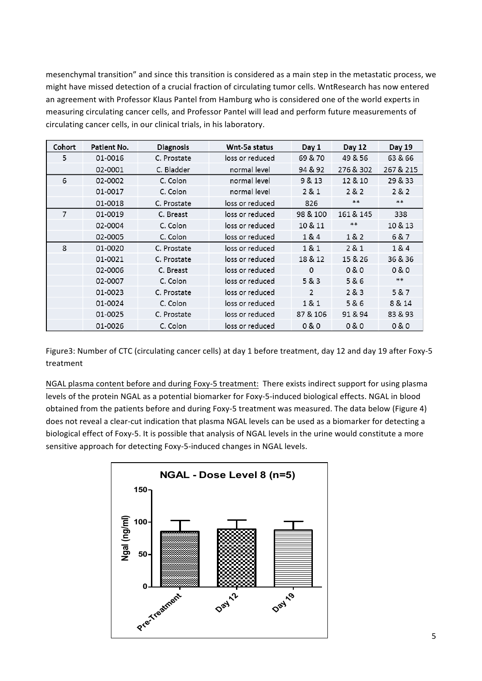mesenchymal transition" and since this transition is considered as a main step in the metastatic process, we might have missed detection of a crucial fraction of circulating tumor cells. WntResearch has now entered an agreement with Professor Klaus Pantel from Hamburg who is considered one of the world experts in measuring circulating cancer cells, and Professor Pantel will lead and perform future measurements of circulating cancer cells, in our clinical trials, in his laboratory.

| Cohort | Patient No. | <b>Diagnosis</b> | Wnt-5a status   | Day 1    | Day 12    | Day 19    |
|--------|-------------|------------------|-----------------|----------|-----------|-----------|
| 5      | 01-0016     | C. Prostate      | loss or reduced | 69 & 70  | 49 & 56   | 63 & 66   |
|        | 02-0001     | C. Bladder       | normal level    | 94 & 92  | 276 & 302 | 267 & 215 |
| 6      | 02-0002     | C. Colon         | normal level    | 9 & 13   | 12 & 10   | 29 & 33   |
|        | 01-0017     | C. Colon         | normal level    | 2 & 1    | 282       | 282       |
|        | 01-0018     | C. Prostate      | loss or reduced | 826      | **        | **        |
| 7      | 01-0019     | C. Breast        | loss or reduced | 98 & 100 | 161 & 145 | 338       |
|        | 02-0004     | C. Colon         | loss or reduced | 10 & 11  | **        | 10 & 13   |
|        | 02-0005     | C. Colon         | loss or reduced | 1&4      | 1&2       | 6 & 7     |
| 8      | 01-0020     | C. Prostate      | loss or reduced | 1& 1     | 2 & 1     | 1 & 4     |
|        | 01-0021     | C. Prostate      | loss or reduced | 18 & 12  | 15 & 26   | 36 & 36   |
|        | 02-0006     | C. Breast        | loss or reduced | 0        | 0 & 0     | 0 & 0     |
|        | 02-0007     | C. Colon         | loss or reduced | 5 & 3    | 5&6       | $*$       |
|        | 01-0023     | C. Prostate      | loss or reduced | 2        | 283       | 5 & 7     |
|        | 01-0024     | C. Colon         | loss or reduced | 1& 1     | 5 & 6     | 8 & 14    |
|        | 01-0025     | C. Prostate      | loss or reduced | 87 & 106 | 91 & 94   | 83 & 93   |
|        | 01-0026     | C. Colon         | loss or reduced | 0 & 0    | 0 & 0     | 0 & 0     |

Figure3: Number of CTC (circulating cancer cells) at day 1 before treatment, day 12 and day 19 after Foxy-5 treatment

NGAL plasma content before and during Foxy-5 treatment: There exists indirect support for using plasma levels of the protein NGAL as a potential biomarker for Foxy-5-induced biological effects. NGAL in blood obtained from the patients before and during Foxy-5 treatment was measured. The data below (Figure 4) does not reveal a clear-cut indication that plasma NGAL levels can be used as a biomarker for detecting a biological effect of Foxy-5. It is possible that analysis of NGAL levels in the urine would constitute a more sensitive approach for detecting Foxy-5-induced changes in NGAL levels.

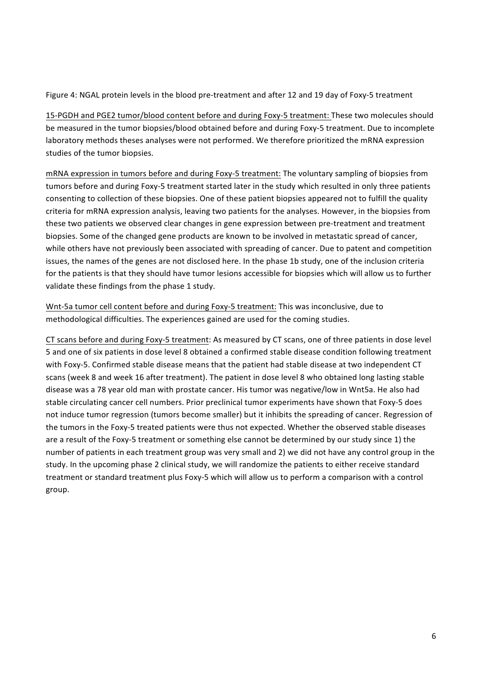Figure 4: NGAL protein levels in the blood pre-treatment and after 12 and 19 day of Foxy-5 treatment

15-PGDH and PGE2 tumor/blood content before and during Foxy-5 treatment: These two molecules should be measured in the tumor biopsies/blood obtained before and during Foxy-5 treatment. Due to incomplete laboratory methods theses analyses were not performed. We therefore prioritized the mRNA expression studies of the tumor biopsies.

mRNA expression in tumors before and during Foxy-5 treatment: The voluntary sampling of biopsies from tumors before and during Foxy-5 treatment started later in the study which resulted in only three patients consenting to collection of these biopsies. One of these patient biopsies appeared not to fulfill the quality criteria for mRNA expression analysis, leaving two patients for the analyses. However, in the biopsies from these two patients we observed clear changes in gene expression between pre-treatment and treatment biopsies. Some of the changed gene products are known to be involved in metastatic spread of cancer, while others have not previously been associated with spreading of cancer. Due to patent and competition issues, the names of the genes are not disclosed here. In the phase 1b study, one of the inclusion criteria for the patients is that they should have tumor lesions accessible for biopsies which will allow us to further validate these findings from the phase 1 study.

Wnt-5a tumor cell content before and during Foxy-5 treatment: This was inconclusive, due to methodological difficulties. The experiences gained are used for the coming studies.

CT scans before and during Foxy-5 treatment: As measured by CT scans, one of three patients in dose level 5 and one of six patients in dose level 8 obtained a confirmed stable disease condition following treatment with Foxy-5. Confirmed stable disease means that the patient had stable disease at two independent CT scans (week 8 and week 16 after treatment). The patient in dose level 8 who obtained long lasting stable disease was a 78 year old man with prostate cancer. His tumor was negative/low in Wnt5a. He also had stable circulating cancer cell numbers. Prior preclinical tumor experiments have shown that Foxy-5 does not induce tumor regression (tumors become smaller) but it inhibits the spreading of cancer. Regression of the tumors in the Foxy-5 treated patients were thus not expected. Whether the observed stable diseases are a result of the Foxy-5 treatment or something else cannot be determined by our study since 1) the number of patients in each treatment group was very small and 2) we did not have any control group in the study. In the upcoming phase 2 clinical study, we will randomize the patients to either receive standard treatment or standard treatment plus Foxy-5 which will allow us to perform a comparison with a control group.